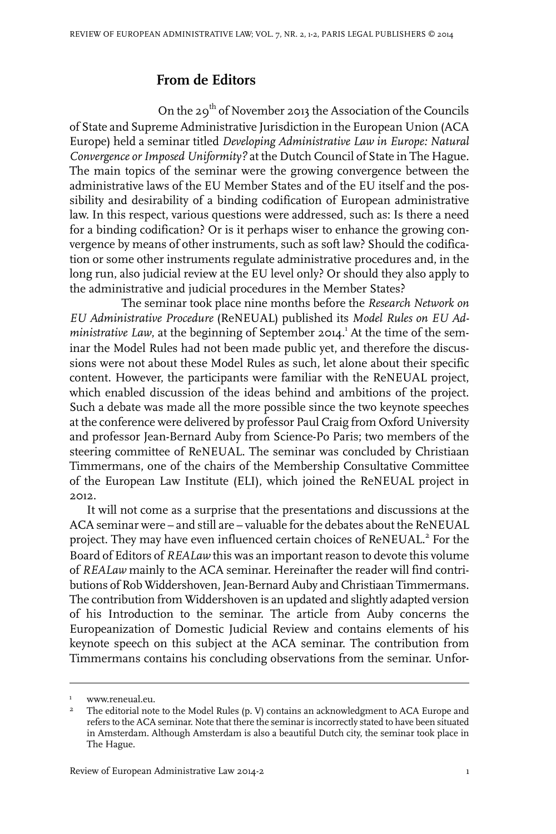## **From de Editors**

On the 29<sup>th</sup> of November 2013 the Association of the Councils of State and Supreme Administrative Jurisdiction in the European Union (ACA Europe) held a seminar titled *Developing Administrative Law in Europe: Natural Convergence orImposed Uniformity?* at the Dutch Council of State in The Hague. The main topics of the seminar were the growing convergence between the administrative laws of the EU Member States and of the EU itself and the possibility and desirability of a binding codification of European administrative law. In this respect, various questions were addressed, such as: Is there a need for a binding codification? Or is it perhaps wiser to enhance the growing convergence by means of other instruments, such as soft law? Should the codification or some other instruments regulate administrative procedures and, in the long run, also judicial review at the EU level only? Or should they also apply to the administrative and judicial procedures in the Member States?

The seminar took place nine months before the *Research Network on EU Administrative Procedure* (ReNEUAL) published its *Model Rules on EU Administrative Law*, at the beginning of September 2014.<sup>1</sup> At the time of the seminar the Model Rules had not been made public yet, and therefore the discussions were not about these Model Rules as such, let alone about their specific content. However, the participants were familiar with the ReNEUAL project, which enabled discussion of the ideas behind and ambitions of the project. Such a debate was made all the more possible since the two keynote speeches at the conference were delivered by professor Paul Craig from Oxford University and professor Jean-Bernard Auby from Science-Po Paris; two members of the steering committee of ReNEUAL. The seminar was concluded by Christiaan Timmermans, one of the chairs of the Membership Consultative Committee of the European Law Institute (ELI), which joined the ReNEUAL project in 2012.

It will not come as a surprise that the presentations and discussions at the ACA seminar were – and still are – valuable for the debates about the ReNEUAL project. They may have even influenced certain choices of ReNEUAL.<sup>2</sup> For the Board of Editors of *REALaw* this was an important reason to devote this volume of *REALaw* mainly to the ACA seminar. Hereinafter the reader will find contributions of Rob Widdershoven, Jean-Bernard Auby and Christiaan Timmermans. The contribution from Widdershoven is an updated and slightly adapted version of his Introduction to the seminar. The article from Auby concerns the Europeanization of Domestic Judicial Review and contains elements of his keynote speech on this subject at the ACA seminar. The contribution from Timmermans contains his concluding observations from the seminar. Unfor-

<sup>&</sup>lt;sup>1</sup> www.reneual.eu.

The editorial note to the Model Rules (p. V) contains an acknowledgment to ACA Europe and refers to the ACA seminar. Note that there the seminaris incorrectly stated to have been situated 2 in Amsterdam. Although Amsterdam is also a beautiful Dutch city, the seminar took place in The Hague.